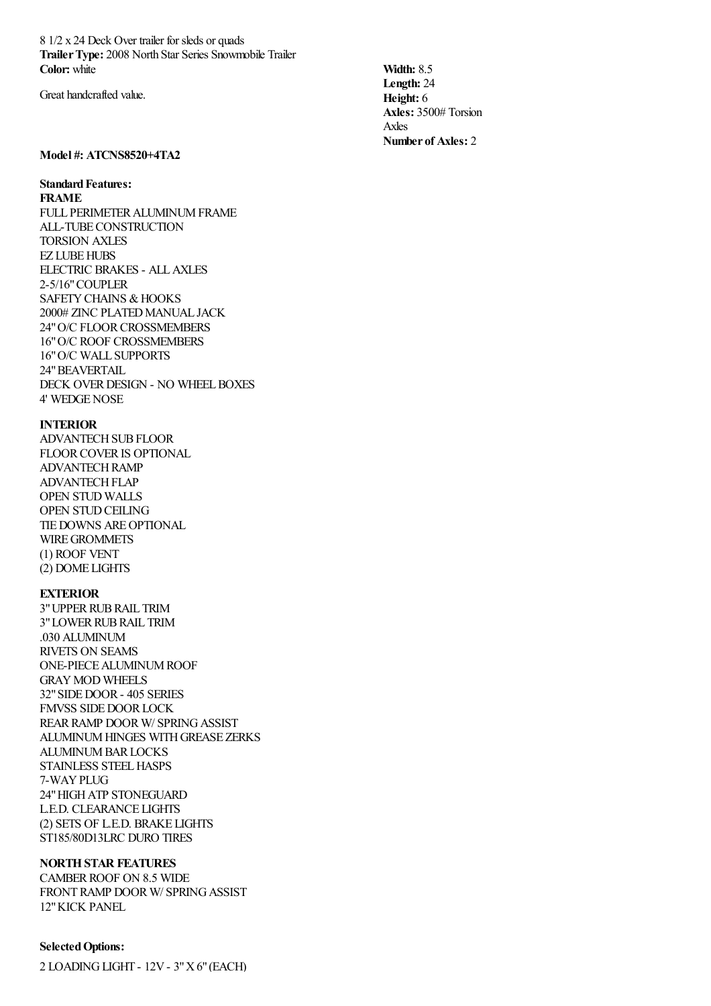8 1/2 x 24 Deck Over trailer for sleds or quads **TrailerType:** 2008 North Star Series Snowmobile Trailer **Color:** white

Great handcrafted value.

# **Model #: ATCNS8520+4TA2**

# **Standard Features:**

**FRAME**

FULL PERIMETER ALUMINUM FRAME ALL-TUBECONSTRUCTION TORSION AXLES **EZ LUBE HUBS** ELECTRIC BRAKES - ALLAXLES 2-5/16"COUPLER SAFETY CHAINS & HOOKS 2000# ZINC PLATED MANUAL JACK 24" O/C FLOOR CROSSMEMBERS 16"O/C ROOF CROSSMEMBERS 16"O/C WALL SUPPORTS 24"BEAVERTAIL DECK OVER DESIGN - NO WHEEL BOXES 4' WEDGENOSE

#### **INTERIOR**

ADVANTECHSUBFLOOR FLOORCOVERIS OPTIONAL ADVANTECHRAMP ADVANTECH FLAP OPEN STUD WALLS OPEN STUD CEILING TIEDOWNS AREOPTIONAL WIREGROMMETS (1) ROOF VENT (2) DOME LIGHTS

## **EXTERIOR**

3"UPPERRUBRAIL TRIM 3" LOWER RUB RAIL TRIM .030 ALUMINUM RIVETS ON SEAMS ONE-PIECEALUMINUMROOF GRAYMOD WHEELS 32"SIDEDOOR- 405 SERIES FMVSS SIDE DOOR LOCK REARRAMP DOORW/ SPRINGASSIST ALUMINUM HINGES WITH GREASE ZERKS ALUMINUM BAR LOCKS STAINLESS STEEL HASPS 7-WAYPLUG 24"HIGHATP STONEGUARD L.E.D. CLEARANCE LIGHTS (2) SETS OF L.E.D. BRAKE LIGHTS ST185/80D13LRC DURO TIRES

#### **NORTHSTAR FEATURES**

CAMBER ROOF ON 8.5 WIDE FRONT RAMP DOOR W/ SPRING ASSIST 12"KICK PANEL

## **SelectedOptions:**

2 LOADINGLIGHT - 12V- 3"X6"(EACH)

**Width:** 8.5 **Length:** 24 **Height:** 6 **Axles:** 3500# Torsion Axles **Number of Axles:** 2